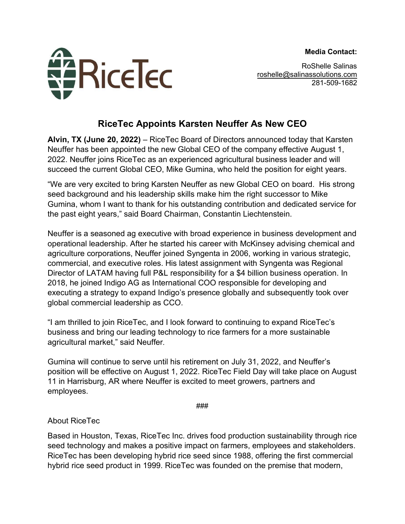**Media Contact:**



RoShelle Salinas [roshelle@salinassolutions.com](mailto:roshelle@salinassolutions.com) 281-509-1682

## **RiceTec Appoints Karsten Neuffer As New CEO**

**Alvin, TX (June 20, 2022)** – RiceTec Board of Directors announced today that Karsten Neuffer has been appointed the new Global CEO of the company effective August 1, 2022. Neuffer joins RiceTec as an experienced agricultural business leader and will succeed the current Global CEO, Mike Gumina, who held the position for eight years.

"We are very excited to bring Karsten Neuffer as new Global CEO on board. His strong seed background and his leadership skills make him the right successor to Mike Gumina, whom I want to thank for his outstanding contribution and dedicated service for the past eight years," said Board Chairman, Constantin Liechtenstein.

Neuffer is a seasoned ag executive with broad experience in business development and operational leadership. After he started his career with McKinsey advising chemical and agriculture corporations, Neuffer joined Syngenta in 2006, working in various strategic, commercial, and executive roles. His latest assignment with Syngenta was Regional Director of LATAM having full P&L responsibility for a \$4 billion business operation. In 2018, he joined Indigo AG as International COO responsible for developing and executing a strategy to expand Indigo's presence globally and subsequently took over global commercial leadership as CCO.

"I am thrilled to join RiceTec, and I look forward to continuing to expand RiceTec's business and bring our leading technology to rice farmers for a more sustainable agricultural market," said Neuffer.

Gumina will continue to serve until his retirement on July 31, 2022, and Neuffer's position will be effective on August 1, 2022. RiceTec Field Day will take place on August 11 in Harrisburg, AR where Neuffer is excited to meet growers, partners and employees.

###

About RiceTec

Based in Houston, Texas, RiceTec Inc. drives food production sustainability through rice seed technology and makes a positive impact on farmers, employees and stakeholders. RiceTec has been developing hybrid rice seed since 1988, offering the first commercial hybrid rice seed product in 1999. RiceTec was founded on the premise that modern,